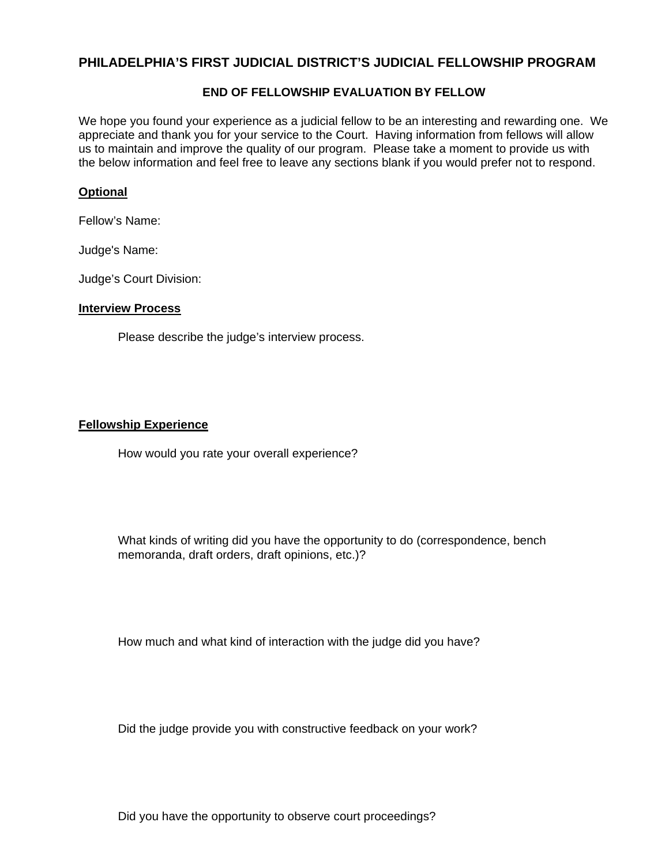# **PHILADELPHIA'S FIRST JUDICIAL DISTRICT'S JUDICIAL FELLOWSHIP PROGRAM**

### **END OF FELLOWSHIP EVALUATION BY FELLOW**

We hope you found your experience as a judicial fellow to be an interesting and rewarding one. We appreciate and thank you for your service to the Court. Having information from fellows will allow us to maintain and improve the quality of our program. Please take a moment to provide us with the below information and feel free to leave any sections blank if you would prefer not to respond.

### **Optional**

Fellow's Name:

Judge's Name:

Judge's Court Division:

#### **Interview Process**

Please describe the judge's interview process.

#### **Fellowship Experience**

How would you rate your overall experience?

What kinds of writing did you have the opportunity to do (correspondence, bench memoranda, draft orders, draft opinions, etc.)?

How much and what kind of interaction with the judge did you have?

Did the judge provide you with constructive feedback on your work?

Did you have the opportunity to observe court proceedings?